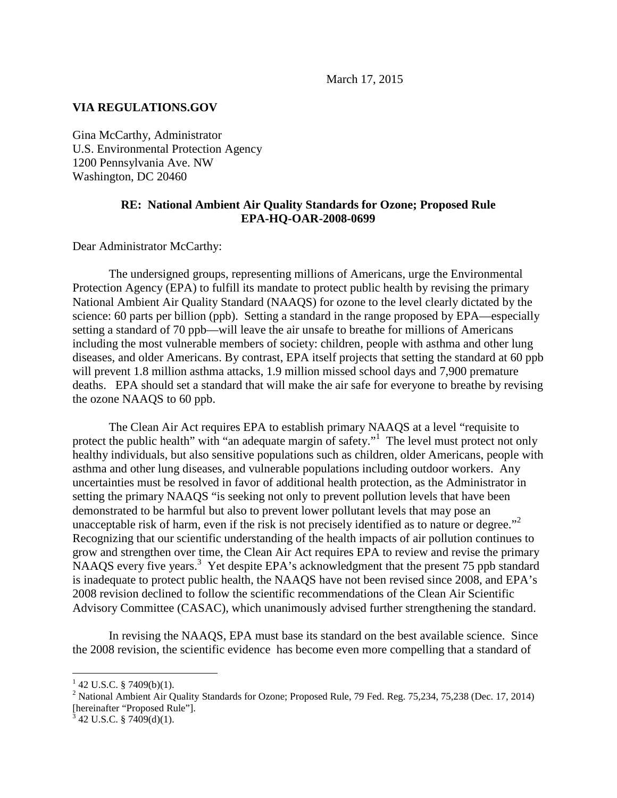March 17, 2015

## **VIA REGULATIONS.GOV**

Gina McCarthy, Administrator U.S. Environmental Protection Agency 1200 Pennsylvania Ave. NW Washington, DC 20460

## **RE: National Ambient Air Quality Standards for Ozone; Proposed Rule EPA-HQ-OAR-2008-0699**

Dear Administrator McCarthy:

The undersigned groups, representing millions of Americans, urge the Environmental Protection Agency (EPA) to fulfill its mandate to protect public health by revising the primary National Ambient Air Quality Standard (NAAQS) for ozone to the level clearly dictated by the science: 60 parts per billion (ppb). Setting a standard in the range proposed by EPA—especially setting a standard of 70 ppb—will leave the air unsafe to breathe for millions of Americans including the most vulnerable members of society: children, people with asthma and other lung diseases, and older Americans. By contrast, EPA itself projects that setting the standard at 60 ppb will prevent 1.8 million asthma attacks, 1.9 million missed school days and 7,900 premature deaths. EPA should set a standard that will make the air safe for everyone to breathe by revising the ozone NAAQS to 60 ppb.

The Clean Air Act requires EPA to establish primary NAAQS at a level "requisite to protect the public health" with "an adequate margin of safety."<sup>1</sup> The level must protect not only healthy individuals, but also sensitive populations such as children, older Americans, people with asthma and other lung diseases, and vulnerable populations including outdoor workers. Any uncertainties must be resolved in favor of additional health protection, as the Administrator in setting the primary NAAQS "is seeking not only to prevent pollution levels that have been demonstrated to be harmful but also to prevent lower pollutant levels that may pose an unacceptable risk of harm, even if the risk is not precisely identified as to nature or degree."<sup>2</sup> Recognizing that our scientific understanding of the health impacts of air pollution continues to grow and strengthen over time, the Clean Air Act requires EPA to review and revise the primary NAAQS every five years.<sup>3</sup> Yet despite EPA's acknowledgment that the present 75 ppb standard is inadequate to protect public health, the NAAQS have not been revised since 2008, and EPA's 2008 revision declined to follow the scientific recommendations of the Clean Air Scientific Advisory Committee (CASAC), which unanimously advised further strengthening the standard.

In revising the NAAQS, EPA must base its standard on the best available science. Since the 2008 revision, the scientific evidence has become even more compelling that a standard of

<u>.</u>

 $1$  42 U.S.C. § 7409(b)(1).

<sup>&</sup>lt;sup>2</sup> National Ambient Air Quality Standards for Ozone; Proposed Rule, 79 Fed. Reg. 75,234, 75,238 (Dec. 17, 2014) [hereinafter "Proposed Rule"].

 $3^{3}$  42 U.S.C. § 7409(d)(1).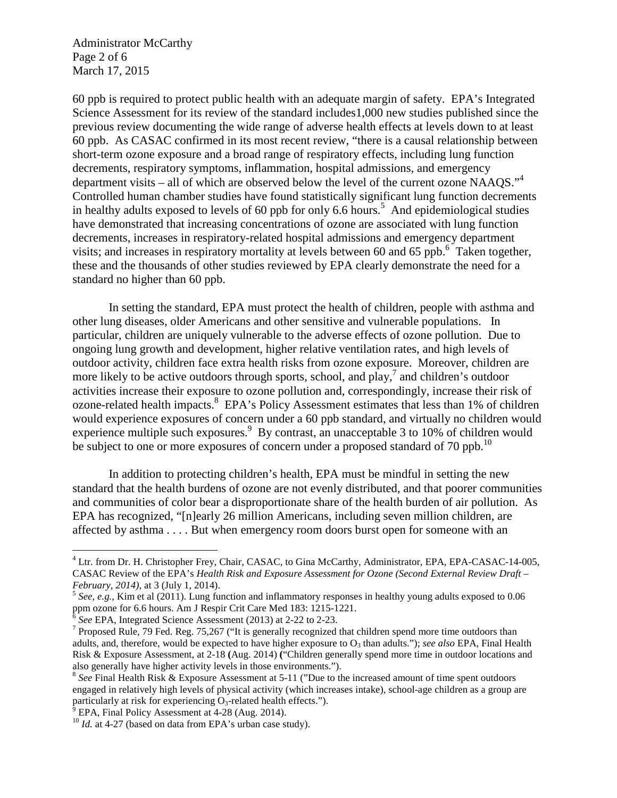Administrator McCarthy Page 2 of 6 March 17, 2015

60 ppb is required to protect public health with an adequate margin of safety. EPA's Integrated Science Assessment for its review of the standard includes1,000 new studies published since the previous review documenting the wide range of adverse health effects at levels down to at least 60 ppb. As CASAC confirmed in its most recent review, "there is a causal relationship between short-term ozone exposure and a broad range of respiratory effects, including lung function decrements, respiratory symptoms, inflammation, hospital admissions, and emergency department visits – all of which are observed below the level of the current ozone NAAQS."<sup>4</sup> Controlled human chamber studies have found statistically significant lung function decrements in healthy adults exposed to levels of 60 ppb for only 6.6 hours.<sup>5</sup> And epidemiological studies have demonstrated that increasing concentrations of ozone are associated with lung function decrements, increases in respiratory-related hospital admissions and emergency department visits; and increases in respiratory mortality at levels between 60 and 65 ppb.<sup>6</sup> Taken together, these and the thousands of other studies reviewed by EPA clearly demonstrate the need for a standard no higher than 60 ppb.

In setting the standard, EPA must protect the health of children, people with asthma and other lung diseases, older Americans and other sensitive and vulnerable populations. In particular, children are uniquely vulnerable to the adverse effects of ozone pollution. Due to ongoing lung growth and development, higher relative ventilation rates, and high levels of outdoor activity, children face extra health risks from ozone exposure. Moreover, children are more likely to be active outdoors through sports, school, and play,  $^7$  and children's outdoor activities increase their exposure to ozone pollution and, correspondingly, increase their risk of ozone-related health impacts.<sup>8</sup> EPA's Policy Assessment estimates that less than 1% of children would experience exposures of concern under a 60 ppb standard, and virtually no children would experience multiple such exposures.<sup>9</sup> By contrast, an unacceptable 3 to 10% of children would be subject to one or more exposures of concern under a proposed standard of 70 ppb.<sup>10</sup>

In addition to protecting children's health, EPA must be mindful in setting the new standard that the health burdens of ozone are not evenly distributed, and that poorer communities and communities of color bear a disproportionate share of the health burden of air pollution. As EPA has recognized, "[n]early 26 million Americans, including seven million children, are affected by asthma . . . . But when emergency room doors burst open for someone with an

 $\overline{a}$ 

<sup>&</sup>lt;sup>4</sup> Ltr. from Dr. H. Christopher Frey, Chair, CASAC, to Gina McCarthy, Administrator, EPA, EPA-CASAC-14-005, CASAC Review of the EPA's *Health Risk and Exposure Assessment for Ozone (Second External Review Draft – February, 2014)*, at 3 (July 1, 2014).

<sup>&</sup>lt;sup>5</sup> See, e.g., Kim et al (2011). Lung function and inflammatory responses in healthy young adults exposed to 0.06 ppm ozone for 6.6 hours. Am J Respir Crit Care Med 183: 1215-1221.

 $\delta$  See EPA, Integrated Science Assessment (2013) at 2-22 to 2-23.

<sup>&</sup>lt;sup>7</sup> Proposed Rule, 79 Fed. Reg. 75,267 ("It is generally recognized that children spend more time outdoors than adults, and, therefore, would be expected to have higher exposure to O<sub>3</sub> than adults."); *see also* EPA, Final Health Risk & Exposure Assessment, at 2-18 **(**Aug. 2014) **(**"Children generally spend more time in outdoor locations and also generally have higher activity levels in those environments.").

<sup>&</sup>lt;sup>8</sup> See Final Health Risk & Exposure Assessment at 5-11 ("Due to the increased amount of time spent outdoors" engaged in relatively high levels of physical activity (which increases intake), school-age children as a group are particularly at risk for experiencing  $O_3$ -related health effects.").

EPA, Final Policy Assessment at 4-28 (Aug. 2014).

<sup>&</sup>lt;sup>10</sup> *Id.* at 4-27 (based on data from EPA's urban case study).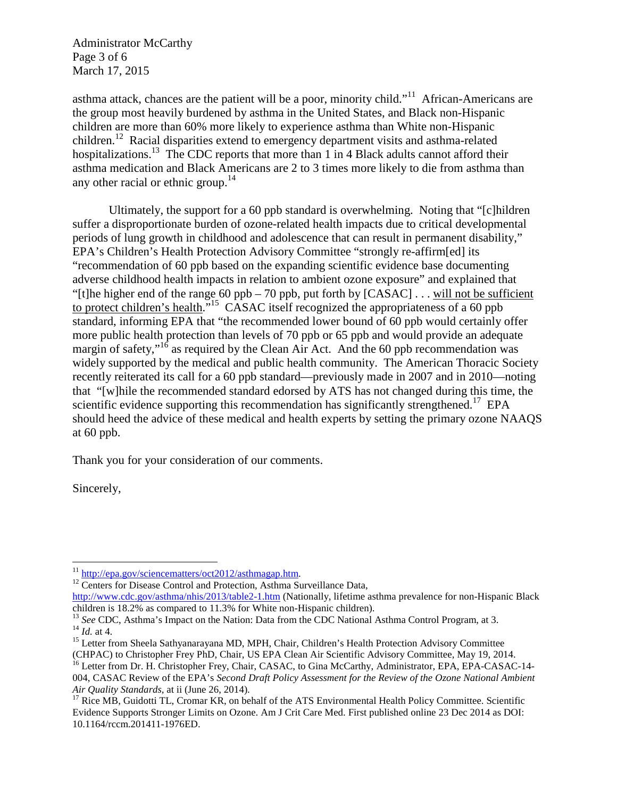Administrator McCarthy Page 3 of 6 March 17, 2015

asthma attack, chances are the patient will be a poor, minority child."<sup>11</sup> African-Americans are the group most heavily burdened by asthma in the United States, and Black non-Hispanic children are more than 60% more likely to experience asthma than White non-Hispanic children.<sup>12</sup> Racial disparities extend to emergency department visits and asthma-related hospitalizations.<sup>13</sup> The CDC reports that more than 1 in 4 Black adults cannot afford their asthma medication and Black Americans are 2 to 3 times more likely to die from asthma than any other racial or ethnic group.<sup>14</sup>

Ultimately, the support for a 60 ppb standard is overwhelming. Noting that "[c]hildren suffer a disproportionate burden of ozone-related health impacts due to critical developmental periods of lung growth in childhood and adolescence that can result in permanent disability," EPA's Children's Health Protection Advisory Committee "strongly re-affirm[ed] its "recommendation of 60 ppb based on the expanding scientific evidence base documenting adverse childhood health impacts in relation to ambient ozone exposure" and explained that "[t]he higher end of the range 60 ppb – 70 ppb, put forth by [CASAC] . . . will not be sufficient to protect children's health."<sup>15</sup> CASAC itself recognized the appropriateness of a 60 ppb standard, informing EPA that "the recommended lower bound of 60 ppb would certainly offer more public health protection than levels of 70 ppb or 65 ppb and would provide an adequate margin of safety,"<sup>16</sup> as required by the Clean Air Act. And the 60 ppb recommendation was widely supported by the medical and public health community. The American Thoracic Society recently reiterated its call for a 60 ppb standard—previously made in 2007 and in 2010—noting that "[w]hile the recommended standard edorsed by ATS has not changed during this time, the scientific evidence supporting this recommendation has significantly strengthened.<sup>17</sup> EPA should heed the advice of these medical and health experts by setting the primary ozone NAAQS at 60 ppb.

Thank you for your consideration of our comments.

Sincerely,

<sup>&</sup>lt;u>.</u> <sup>11</sup> http://epa.gov/sciencematters/oct2012/asthmagap.htm.

<sup>&</sup>lt;sup>12</sup> Centers for Disease Control and Protection, Asthma Surveillance Data,

http://www.cdc.gov/asthma/nhis/2013/table2-1.htm (Nationally, lifetime asthma prevalence for non-Hispanic Black children is 18.2% as compared to 11.3% for White non-Hispanic children).

<sup>&</sup>lt;sup>13</sup> See CDC, Asthma's Impact on the Nation: Data from the CDC National Asthma Control Program, at 3. <sup>14</sup> *Id.* at 4.

<sup>&</sup>lt;sup>15</sup> Letter from Sheela Sathyanarayana MD, MPH, Chair, Children's Health Protection Advisory Committee (CHPAC) to Christopher Frey PhD, Chair, US EPA Clean Air Scientific Advisory Committee, May 19, 2014.

<sup>&</sup>lt;sup>16</sup> Letter from Dr. H. Christopher Frey, Chair, CASAC, to Gina McCarthy, Administrator, EPA, EPA-CASAC-14-004, CASAC Review of the EPA's *Second Draft Policy Assessment for the Review of the Ozone National Ambient Air Quality Standards*, at ii (June 26, 2014).

 $17$  Rice MB, Guidotti TL, Cromar KR, on behalf of the ATS Environmental Health Policy Committee. Scientific Evidence Supports Stronger Limits on Ozone. Am J Crit Care Med. First published online 23 Dec 2014 as DOI: 10.1164/rccm.201411-1976ED.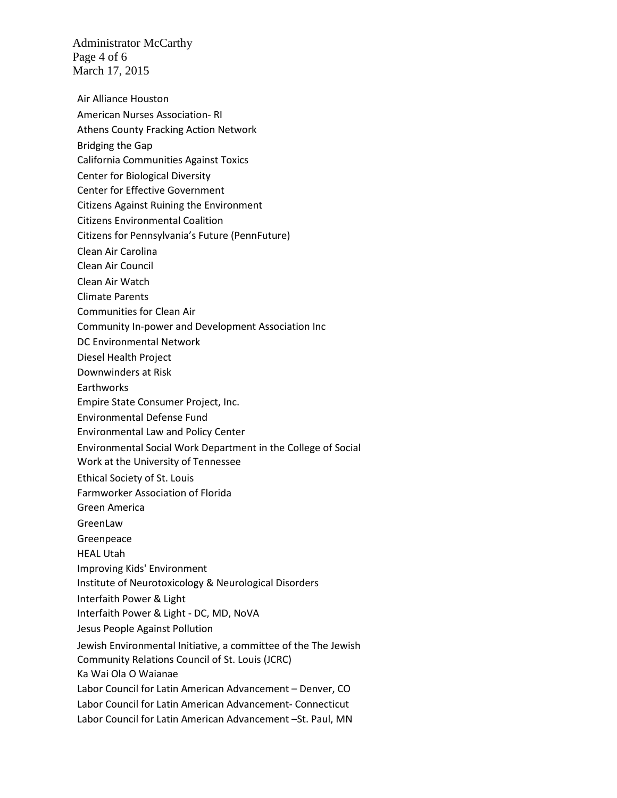Administrator McCarthy Page 4 of 6 March 17, 2015

- Air Alliance Houston
- American Nurses Association- RI
- Athens County Fracking Action Network
- Bridging the Gap
- California Communities Against Toxics
- Center for Biological Diversity
- Center for Effective Government
- Citizens Against Ruining the Environment
- Citizens Environmental Coalition
- Citizens for Pennsylvania's Future (PennFuture)
- Clean Air Carolina
- Clean Air Council
- Clean Air Watch
- Climate Parents
- Communities for Clean Air
- Community In-power and Development Association Inc
- DC Environmental Network
- Diesel Health Project
- Downwinders at Risk
- **Earthworks**
- Empire State Consumer Project, Inc.
- Environmental Defense Fund
- Environmental Law and Policy Center
- Environmental Social Work Department in the College of Social
- Work at the University of Tennessee
- Ethical Society of St. Louis
- Farmworker Association of Florida
- Green America
- GreenLaw
- Greenpeace
- HEAL Utah
- Improving Kids' Environment
- Institute of Neurotoxicology & Neurological Disorders
- Interfaith Power & Light
- Interfaith Power & Light DC, MD, NoVA
- Jesus People Against Pollution
- Jewish Environmental Initiative, a committee of the The Jewish Community Relations Council of St. Louis (JCRC) Ka Wai Ola O Waianae Labor Council for Latin American Advancement – Denver, CO Labor Council for Latin American Advancement- Connecticut Labor Council for Latin American Advancement –St. Paul, MN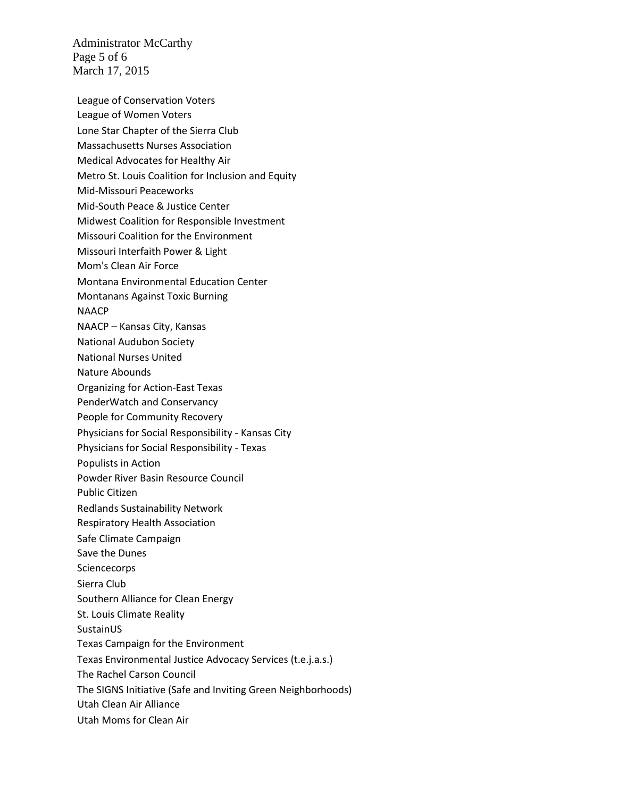Administrator McCarthy Page 5 of 6 March 17, 2015

League of Conservation Voters League of Women Voters Lone Star Chapter of the Sierra Club Massachusetts Nurses Association Medical Advocates for Healthy Air Metro St. Louis Coalition for Inclusion and Equity Mid-Missouri Peaceworks Mid-South Peace & Justice Center Midwest Coalition for Responsible Investment Missouri Coalition for the Environment Missouri Interfaith Power & Light Mom's Clean Air Force Montana Environmental Education Center Montanans Against Toxic Burning NAACP NAACP – Kansas City, Kansas National Audubon Society National Nurses United Nature Abounds Organizing for Action-East Texas PenderWatch and Conservancy People for Community Recovery Physicians for Social Responsibility - Kansas City Physicians for Social Responsibility - Texas Populists in Action Powder River Basin Resource Council Public Citizen Redlands Sustainability Network Respiratory Health Association Safe Climate Campaign Save the Dunes **Sciencecorps** Sierra Club Southern Alliance for Clean Energy St. Louis Climate Reality SustainUS Texas Campaign for the Environment Texas Environmental Justice Advocacy Services (t.e.j.a.s.) The Rachel Carson Council The SIGNS Initiative (Safe and Inviting Green Neighborhoods) Utah Clean Air Alliance Utah Moms for Clean Air